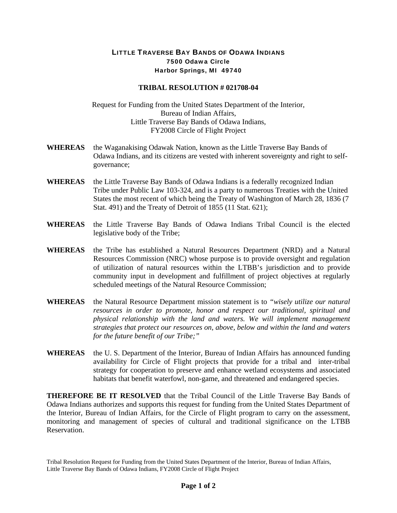## LITTLE TRAVERSE BAY BANDS OF ODAWA INDIANS 7500 Odawa Circle Harbor Springs, MI 49740

## **TRIBAL RESOLUTION # 021708-04**

Request for Funding from the United States Department of the Interior, Bureau of Indian Affairs, Little Traverse Bay Bands of Odawa Indians, FY2008 Circle of Flight Project

- **WHEREAS** the Waganakising Odawak Nation, known as the Little Traverse Bay Bands of Odawa Indians, and its citizens are vested with inherent sovereignty and right to selfgovernance;
- **WHEREAS** the Little Traverse Bay Bands of Odawa Indians is a federally recognized Indian Tribe under Public Law 103-324, and is a party to numerous Treaties with the United States the most recent of which being the Treaty of Washington of March 28, 1836 (7 Stat. 491) and the Treaty of Detroit of 1855 (11 Stat. 621);
- **WHEREAS** the Little Traverse Bay Bands of Odawa Indians Tribal Council is the elected legislative body of the Tribe;
- **WHEREAS** the Tribe has established a Natural Resources Department (NRD) and a Natural Resources Commission (NRC) whose purpose is to provide oversight and regulation of utilization of natural resources within the LTBB's jurisdiction and to provide community input in development and fulfillment of project objectives at regularly scheduled meetings of the Natural Resource Commission;
- **WHEREAS** the Natural Resource Department mission statement is to *"wisely utilize our natural resources in order to promote, honor and respect our traditional, spiritual and physical relationship with the land and waters. We will implement management strategies that protect our resources on, above, below and within the land and waters for the future benefit of our Tribe;"*
- **WHEREAS** the U. S. Department of the Interior, Bureau of Indian Affairs has announced funding availability for Circle of Flight projects that provide for a tribal and inter-tribal strategy for cooperation to preserve and enhance wetland ecosystems and associated habitats that benefit waterfowl, non-game, and threatened and endangered species.

**THEREFORE BE IT RESOLVED** that the Tribal Council of the Little Traverse Bay Bands of Odawa Indians authorizes and supports this request for funding from the United States Department of the Interior, Bureau of Indian Affairs, for the Circle of Flight program to carry on the assessment, monitoring and management of species of cultural and traditional significance on the LTBB Reservation.

Tribal Resolution Request for Funding from the United States Department of the Interior, Bureau of Indian Affairs, Little Traverse Bay Bands of Odawa Indians, FY2008 Circle of Flight Project